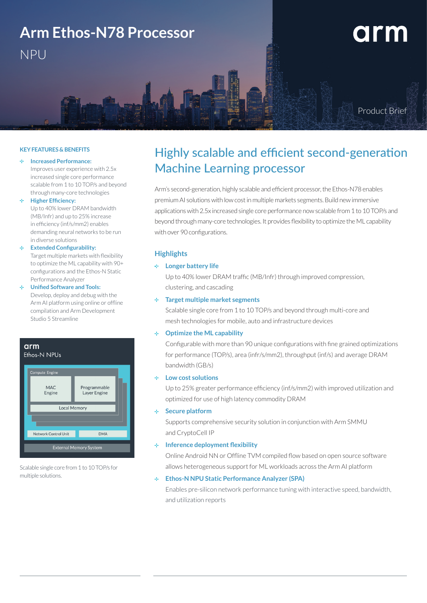

#### **KEY FEATURES & BENEFITS**

#### **Increased Performance:**

Improves user experience with 2.5x increased single core performance scalable from 1 to 10 TOP/s and beyond through many-core technologies

# **Higher Efficiency:**

Up to 40% lower DRAM bandwidth (MB/Infr) and up to 25% increase in efficiency (inf/s/mm2) enables demanding neural networks to be run in diverse solutions

# **Extended Configurability:**  Target multiple markets with flexibility to optimize the ML capability with 90+ configurations and the Ethos-N Static

Performance Analyzer **Unified Software and Tools:**  Develop, deploy and debug with the

Arm AI platform using online or offline compilation and Arm Development Studio 5 Streamline

#### arm Ethos-N NPUs



Scalable single core from 1 to 10 TOP/s for multiple solutions.

# Highly scalable and efficient second-generation Machine Learning processor

Arm's second-generation, highly scalable and efficient processor, the Ethos-N78 enables premium AI solutions with low cost in multiple markets segments. Build new immersive applications with 2.5x increased single core performance now scalable from 1 to 10 TOP/s and beyond through many-core technologies. It provides flexibility to optimize the ML capability with over 90 configurations.

# **Highlights**

# **Longer battery life**

Up to 40% lower DRAM traffic (MB/Infr) through improved compression, clustering, and cascading

#### **Target multiple market segments**

Scalable single core from 1 to 10 TOP/s and beyond through multi-core and mesh technologies for mobile, auto and infrastructure devices

# **Optimize the ML capability**

Configurable with more than 90 unique configurations with fine grained optimizations for performance (TOP/s), area (infr/s/mm2), throughput (inf/s) and average DRAM bandwidth (GB/s)

# **Low cost solutions**

Up to 25% greater performance efficiency (inf/s/mm2) with improved utilization and optimized for use of high latency commodity DRAM

# **Secure platform**

Supports comprehensive security solution in conjunction with Arm SMMU and CryptoCell IP

# **Inference deployment flexibility**

Online Android NN or Offline TVM compiled flow based on open source software allows heterogeneous support for ML workloads across the Arm AI platform

# **Ethos-N NPU Static Performance Analyzer (SPA)**

Enables pre-silicon network performance tuning with interactive speed, bandwidth, and utilization reports